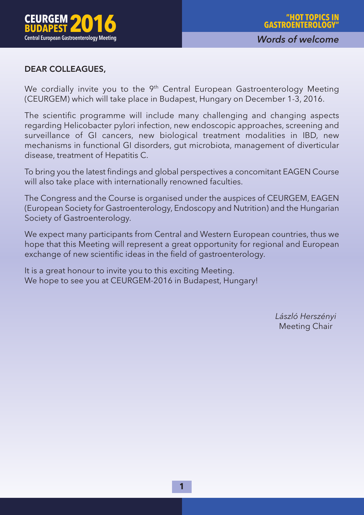

### DEAR COLLEAGUES,

We cordially invite you to the  $9<sup>th</sup>$  Central European Gastroenterology Meeting (CEURGEM) which will take place in Budapest, Hungary on December 1-3, 2016.

The scientific programme will include many challenging and changing aspects regarding Helicobacter pylori infection, new endoscopic approaches, screening and surveillance of GI cancers, new biological treatment modalities in IBD, new mechanisms in functional GI disorders, gut microbiota, management of diverticular disease, treatment of Hepatitis C.

To bring you the latest findings and global perspectives a concomitant EAGEN Course will also take place with internationally renowned faculties.

The Congress and the Course is organised under the auspices of CEURGEM, EAGEN (European Society for Gastroenterology, Endoscopy and Nutrition) and the Hungarian Society of Gastroenterology.

We expect many participants from Central and Western European countries, thus we hope that this Meeting will represent a great opportunity for regional and European exchange of new scientific ideas in the field of gastroenterology.

It is a great honour to invite you to this exciting Meeting. We hope to see you at CEURGEM-2016 in Budapest, Hungary!

> *László Herszényi* Meeting Chair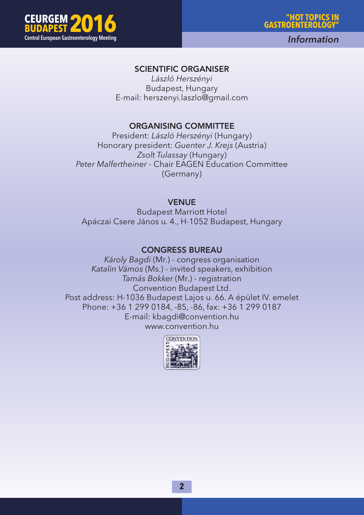

*Information*

#### SCIENTIFIC ORGANISER

*László Herszényi* Budapest, Hungary E-mail: herszenyi.laszlo@gmail.com

#### ORGANISING COMMITTEE

President: *László Herszényi* (Hungary) Honorary president: *Guenter J. Krejs* (Austria) *Zsolt Tulassay* (Hungary) *Peter Malfertheiner* - Chair EAGEN Education Committee (Germany)

#### **VENUE**

Budapest Marriott Hotel Apáczai Csere János u. 4., H-1052 Budapest, Hungary

#### CONGRESS BUREAU

*Károly Bagdi* (Mr.) - congress organisation *Katalin Vámos* (Ms.) - invited speakers, exhibition *Tamás Bokker* (Mr.) - registration Convention Budapest Ltd. Post address: H-1036 Budapest Lajos u. 66. A épület IV. emelet Phone: +36 1 299 0184, -85, -86, fax: +36 1 299 0187 E-mail: kbagdi@convention.hu www.convention.hu

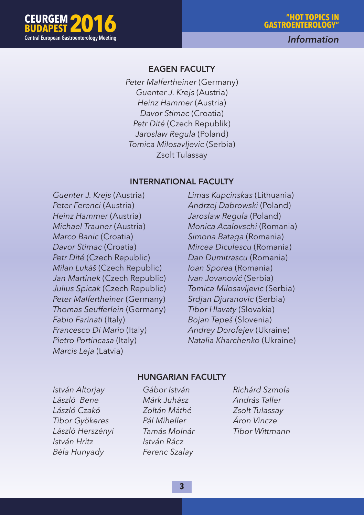

*Information*

#### EAGEN FACULTY

*Peter Malfertheiner* (Germany) *Guenter J. Krejs* (Austria) *Heinz Hammer* (Austria) *Davor Stimac* (Croatia) *Petr Dité* (Czech Republik) *Jaroslaw Regula* (Poland) *Tomica Milosavljevic* (Serbia) Zsolt Tulassay

#### INTERNATIONAL FACULTY

*Guenter J. Krejs* (Austria) *Peter Ferenci* (Austria) *Heinz Hammer* (Austria) *Michael Trauner* (Austria) *Marco Banic* (Croatia) *Davor Stimac* (Croatia) *Petr Dité* (Czech Republic) *Milan Lukáš* (Czech Republic) *Jan Martinek* (Czech Republic) *Julius Spicak* (Czech Republic) *Peter Malfertheiner* (Germany) *Thomas Seufferlein* (Germany) *Fabio Farinati* (Italy) *Francesco Di Mario* (Italy) *Pietro Portincasa* (Italy) *Marcis Leja* (Latvia)

*Limas Kupcinskas* (Lithuania) *Andrzej Dabrowski* (Poland) *Jaroslaw Regula* (Poland) *Monica Acalovschi* (Romania) *Simona Bataga* (Romania) *Mircea Diculescu* (Romania) *Dan Dumitrascu* (Romania) *Ioan Sporea* (Romania) *Ivan Jovanović* (Serbia) *Tomica Milosavljevic* (Serbia) *Srdjan Djuranovic* (Serbia) *Tibor Hlavaty* (Slovakia) *Bojan Tepeš* (Slovenia) *Andrey Dorofejev* (Ukraine) *Natalia Kharchenko* (Ukraine)

#### HUNGARIAN FACULTY

*István Altorjay László Bene László Czakó Tibor Gyökeres László Herszényi István Hritz Béla Hunyady*

*Gábor István Márk Juhász Zoltán Máthé Pál Miheller Tamás Molnár István Rácz Ferenc Szalay*

*Richárd Szmola András Taller Zsolt Tulassay Áron Vincze Tibor Wittmann*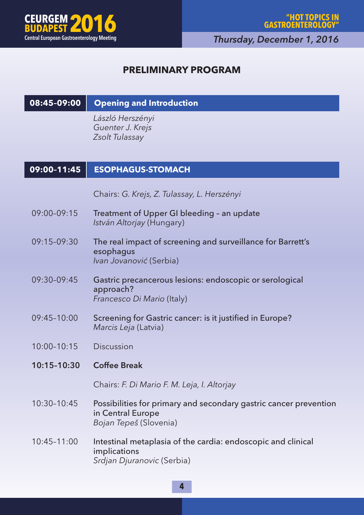

*Thursday, December 1, 2016*

## **PRELIMINARY PROGRAM**

## **08:45–09:00 Opening and Introduction**

*László Herszényi Guenter J. Krejs Zsolt Tulassay*

## **09:00–11:45 ESOPHAGUS-STOMACH**

Chairs: *G. Krejs, Z. Tulassay, L. Herszényi*

- 09:00–09:15 Treatment of Upper GI bleeding an update *István Altorjay* (Hungary)
- 09:15–09:30 The real impact of screening and surveillance for Barrett's esophagus *Ivan Jovanović* (Serbia)
- 09:30–09:45 Gastric precancerous lesions: endoscopic or serological approach? *Francesco Di Mario* (Italy)
- 09:45–10:00 Screening for Gastric cancer: is it justified in Europe? *Marcis Leja* (Latvia)
- 10:00–10:15 Discussion
- **10:15–10:30 Coffee Break**

Chairs: *F. Di Mario F. M. Leja, I. Altorjay*

- 10:30–10:45 Possibilities for primary and secondary gastric cancer prevention in Central Europe *Bojan Tepeš* (Slovenia)
- 10:45–11:00 Intestinal metaplasia of the cardia: endoscopic and clinical implications *Srdjan Djuranovic* (Serbia)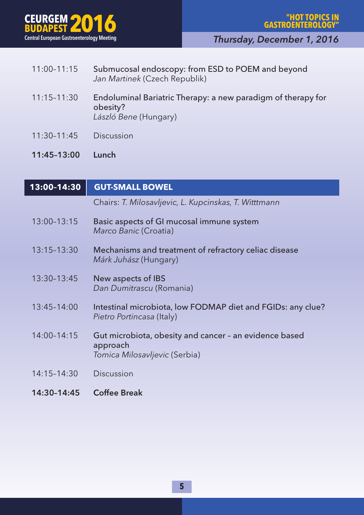

- 11:00–11:15 Submucosal endoscopy: from ESD to POEM and beyond *Jan Martinek* (Czech Republik)
- 11:15–11:30 Endoluminal Bariatric Therapy: a new paradigm of therapy for obesity? *László Bene* (Hungary)
- 11:30–11:45 Discussion
- **11:45–13:00 Lunch**

**13:00–14:30 GUT-SMALL BOWEL**

Chairs: *T. Milosavljevic, L. Kupcinskas, T. Witttmann*

- 13:00–13:15 Basic aspects of GI mucosal immune system *Marco Banic* (Croatia)
- 13:15–13:30 Mechanisms and treatment of refractory celiac disease *Márk Juhász* (Hungary)
- 13:30–13:45 New aspects of IBS *Dan Dumitrascu* (Romania)
- 13:45–14:00 Intestinal microbiota, low FODMAP diet and FGIDs: any clue? *Pietro Portincasa* (Italy)
- 14:00–14:15 Gut microbiota, obesity and cancer an evidence based approach *Tomica Milosavljevic* (Serbia)
- 14:15–14:30 Discussion
- **14:30–14:45 Coffee Break**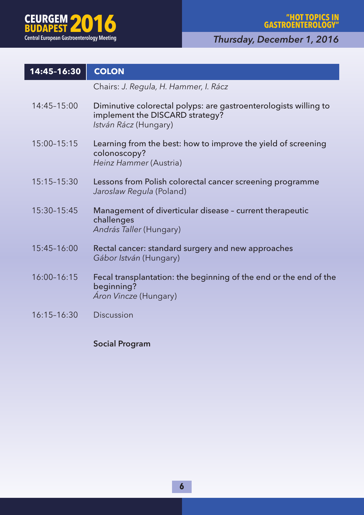

*Thursday, December 1, 2016*

| 14:45-16:30     | <b>COLON</b>                                                                                                                 |
|-----------------|------------------------------------------------------------------------------------------------------------------------------|
|                 | Chairs: J. Regula, H. Hammer, I. Rácz                                                                                        |
| $14:45 - 15:00$ | Diminutive colorectal polyps: are gastroenterologists willing to<br>implement the DISCARD strategy?<br>István Rácz (Hungary) |
| 15:00-15:15     | Learning from the best: how to improve the yield of screening<br>colonoscopy?<br>Heinz Hammer (Austria)                      |
| 15:15-15:30     | Lessons from Polish colorectal cancer screening programme<br>Jaroslaw Regula (Poland)                                        |
| 15:30-15:45     | Management of diverticular disease - current therapeutic<br>challenges<br>András Taller (Hungary)                            |
| 15:45-16:00     | Rectal cancer: standard surgery and new approaches<br>Gábor István (Hungary)                                                 |
| 16:00-16:15     | Fecal transplantation: the beginning of the end or the end of the<br>beginning?<br>Áron Vincze (Hungary)                     |
| $16:15 - 16:30$ | Discussion                                                                                                                   |

## **Social Program**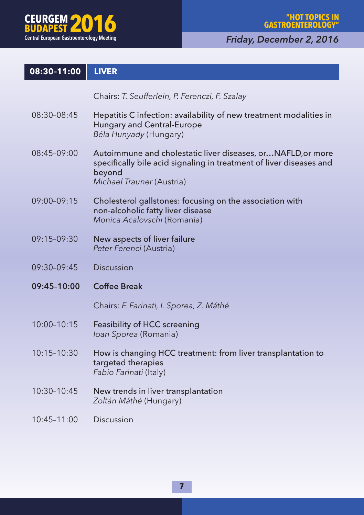

*Friday, December 2, 2016*

## **08:30–11:00 LIVER**

|             | Chairs: T. Seufferlein, P. Ferenczi, F. Szalay                                                                                                                            |
|-------------|---------------------------------------------------------------------------------------------------------------------------------------------------------------------------|
| 08:30-08:45 | Hepatitis C infection: availability of new treatment modalities in<br>Hungary and Central-Europe<br>Béla Hunyady (Hungary)                                                |
| 08:45-09:00 | Autoimmune and cholestatic liver diseases, orNAFLD, or more<br>specifically bile acid signaling in treatment of liver diseases and<br>beyond<br>Michael Trauner (Austria) |
| 09:00-09:15 | Cholesterol gallstones: focusing on the association with<br>non-alcoholic fatty liver disease<br>Monica Acalovschi (Romania)                                              |
| 09:15-09:30 | New aspects of liver failure<br>Peter Ferenci (Austria)                                                                                                                   |
|             |                                                                                                                                                                           |
| 09:30-09:45 | Discussion                                                                                                                                                                |
| 09:45-10:00 | <b>Coffee Break</b>                                                                                                                                                       |
|             | Chairs: F. Farinati, I. Sporea, Z. Máthé                                                                                                                                  |
| 10:00-10:15 | Feasibility of HCC screening<br>Ioan Sporea (Romania)                                                                                                                     |
| 10:15-10:30 | How is changing HCC treatment: from liver transplantation to<br>targeted therapies<br>Fabio Farinati (Italy)                                                              |
| 10:30-10:45 | New trends in liver transplantation<br>Zoltán Máthé (Hungary)                                                                                                             |
| 10:45-11:00 | Discussion                                                                                                                                                                |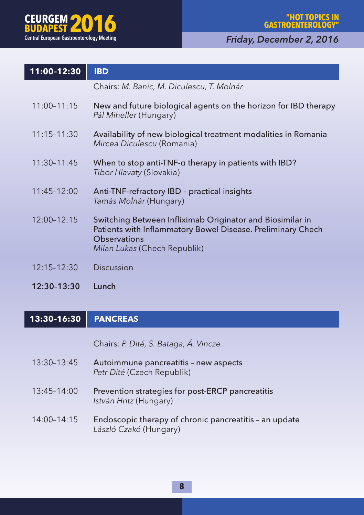

*Friday, December 2, 2016*

| 11:00-12:30     | <b>IBD</b>                                                                                                                                                                      |
|-----------------|---------------------------------------------------------------------------------------------------------------------------------------------------------------------------------|
|                 | Chairs: M. Banic, M. Diculescu, T. Molnár                                                                                                                                       |
| $11:00 - 11:15$ | New and future biological agents on the horizon for IBD therapy<br>Pál Miheller (Hungary)                                                                                       |
| $11:15 - 11:30$ | Availability of new biological treatment modalities in Romania<br>Mircea Diculescu (Romania)                                                                                    |
| 11:30-11:45     | When to stop anti-TNF-a therapy in patients with IBD?<br>Tibor Hlavaty (Slovakia)                                                                                               |
| $11:45 - 12:00$ | Anti-TNF-refractory IBD - practical insights<br>Tamás Molnár (Hungary)                                                                                                          |
| 12:00-12:15     | Switching Between Infliximab Originator and Biosimilar in<br>Patients with Inflammatory Bowel Disease. Preliminary Chech<br><b>Observations</b><br>Milan Lukas (Chech Republik) |
| 12:15-12:30     | Discussion                                                                                                                                                                      |

**12:30–13:30 Lunch**

## **13:30–16:30 PANCREAS**

Chairs: *P. Dité, S. Bataga, Á. Vincze*

- 13:30–13:45 Autoimmune pancreatitis new aspects *Petr Dité* (Czech Republik)
- 13:45–14:00 Prevention strategies for post-ERCP pancreatitis *István Hritz* (Hungary)
- 14:00–14:15 Endoscopic therapy of chronic pancreatitis an update *László Czakó* (Hungary)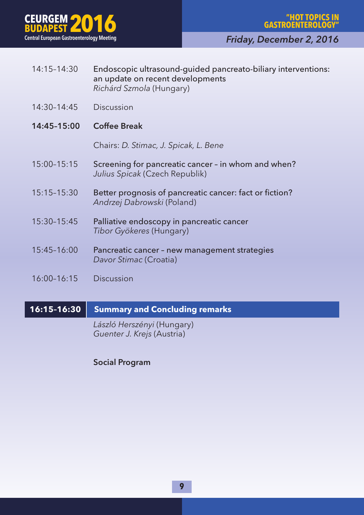

| $14:15 - 14:30$ | Endoscopic ultrasound-guided pancreato-biliary interventions: |
|-----------------|---------------------------------------------------------------|
|                 | an update on recent developments                              |
|                 | Richárd Szmola (Hungary)                                      |

- 14:30–14:45 Discussion
- **14:45–15:00 Coffee Break**

Chairs: *D. Stimac, J. Spicak, L. Bene*

- 15:00–15:15 Screening for pancreatic cancer in whom and when? *Julius Spicak* (Czech Republik)
- 15:15–15:30 Better prognosis of pancreatic cancer: fact or fiction? *Andrzej Dabrowski* (Poland)
- 15:30–15:45 Palliative endoscopy in pancreatic cancer *Tibor Gyökeres* (Hungary)
- 15:45–16:00 Pancreatic cancer new management strategies *Davor Stimac* (Croatia)
- 16:00–16:15 Discussion

## **16:15–16:30 Summary and Concluding remarks**

*László Herszényi* (Hungary) *Guenter J. Krejs* (Austria)

#### **Social Program**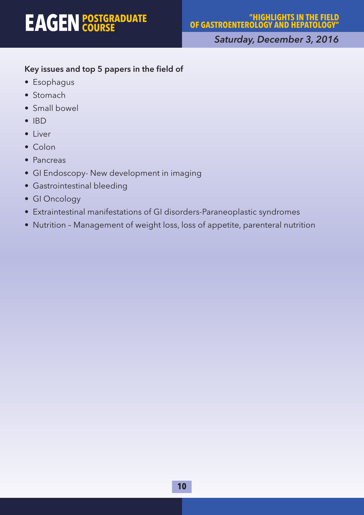*Saturday, December 3, 2016*

## **Key issues and top 5 papers in the field of**

- Esophagus
- Stomach
- Small bowel
- IBD
- Liver
- Colon
- Pancreas
- GI Endoscopy- New development in imaging
- Gastrointestinal bleeding
- GI Oncology
- Extraintestinal manifestations of GI disorders-Paraneoplastic syndromes
- Nutrition Management of weight loss, loss of appetite, parenteral nutrition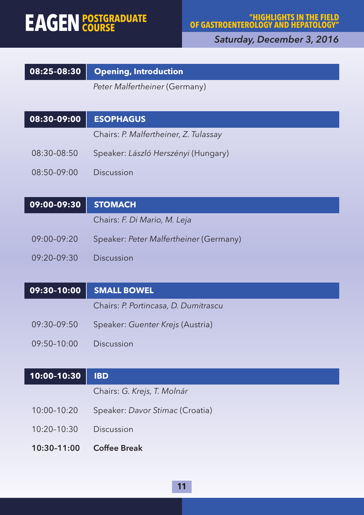#### **"HIGHLIGHTS IN THE FIELD OF GASTROENTEROLOGY AND HEPATOLOGY**

*Saturday, December 3, 2016*

### **08:25–08:30 Opening, Introduction**

*Peter Malfertheiner* (Germany)

## **08:30–09:00 ESOPHAGUS**

Chairs: *P. Malfertheiner, Z. Tulassay*

- 08:30–08:50 Speaker: *László Herszényi* (Hungary)
- 08:50–09:00 Discussion

**09:00–09:30 STOMACH**

- Chairs: *F. Di Mario, M. Leja*
- 09:00–09:20 Speaker: *Peter Malfertheiner* (Germany)
- 09:20–09:30 Discussion

#### **09:30–10:00 SMALL BOWEL**

Chairs: *P. Portincasa, D. Dumitrascu*

- 09:30–09:50 Speaker: *Guenter Krejs* (Austria)
- 09:50–10:00 Discussion

### **10:00–10:30 IBD**

Chairs: *G. Krejs, T. Molnár*

- 10:00–10:20 Speaker: *Davor Stimac* (Croatia)
- 10:20–10:30 Discussion
- **10:30–11:00 Coffee Break**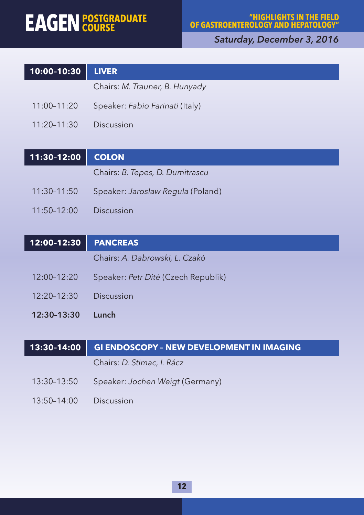#### **"HIGHLIGHTS IN THE FIELD OF GASTROENTEROLOGY AND HEPATOLOGY"**

*Saturday, December 3, 2016*

| 10:00-10:30     | <b>LIVER</b>                    |
|-----------------|---------------------------------|
|                 | Chairs: M. Trauner, B. Hunyady  |
| 11:00-11:20     | Speaker: Fabio Farinati (Italy) |
| $11:20 - 11:30$ | Discussion                      |
|                 |                                 |

## **11:30–12:00 COLON**

- 11:30–11:50 Speaker: *Jaroslaw Regula* (Poland)
- 11:50–12:00 Discussion

## **12:00–12:30 PANCREAS**

Chairs: *A. Dabrowski, L. Czakó*

- 12:00–12:20 Speaker: *Petr Dité* (Czech Republik)
- 12:20–12:30 Discussion
- **12:30–13:30 Lunch**

## **13:30–14:00 GI ENDOSCOPY – NEW DEVELOPMENT IN IMAGING**

Chairs: *D. Stimac, I. Rácz*

- 13:30–13:50 Speaker: *Jochen Weigt* (Germany)
- 13:50–14:00 Discussion